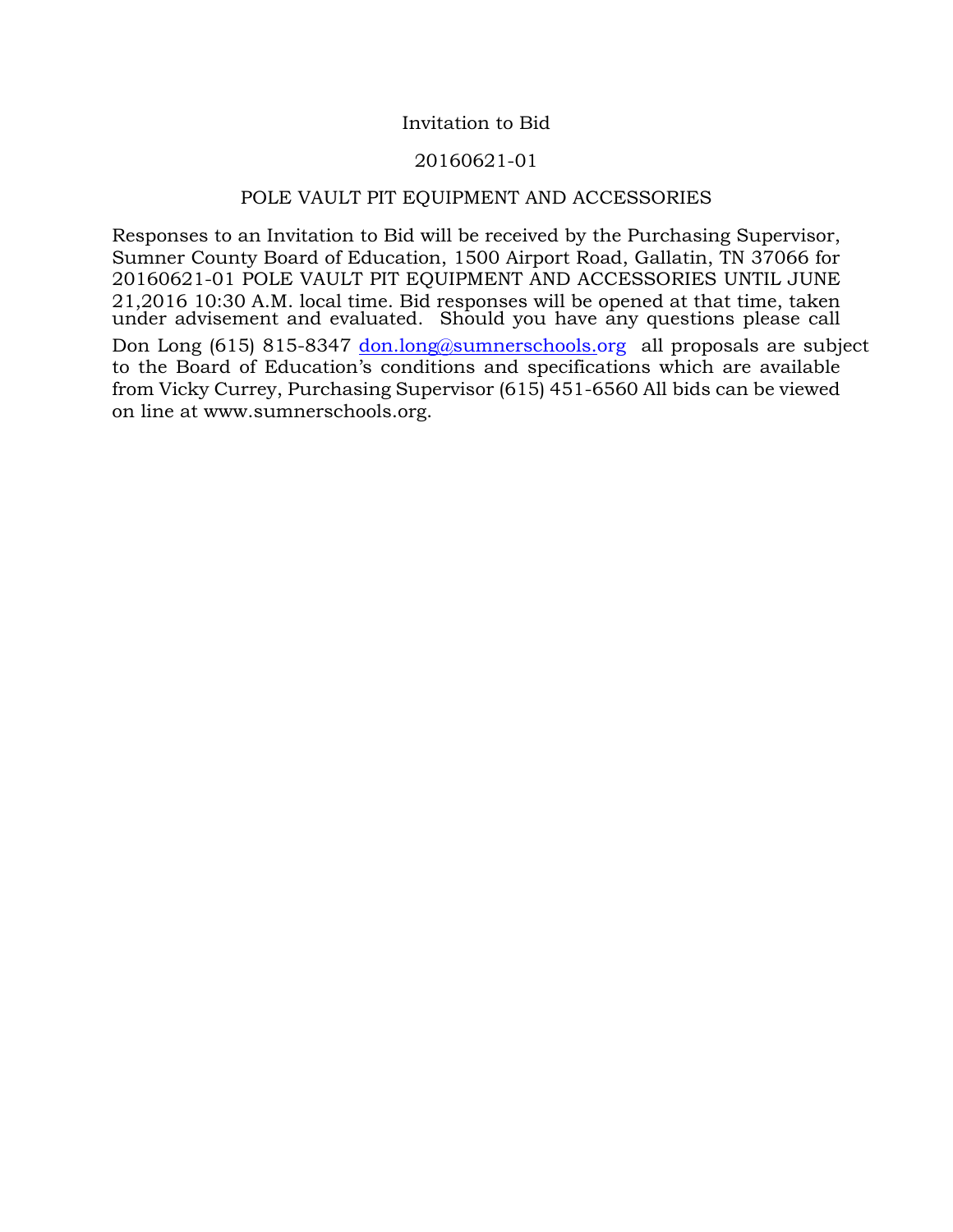#### Invitation to Bid

#### 20160621-01

#### POLE VAULT PIT EQUIPMENT AND ACCESSORIES

Responses to an Invitation to Bid will be received by the Purchasing Supervisor, Sumner County Board of Education, 1500 Airport Road, Gallatin, TN 37066 for 20160621-01 POLE VAULT PIT EQUIPMENT AND ACCESSORIES UNTIL JUNE 21,2016 10:30 A.M. local time. Bid responses will be opened at that time, taken under advisement and evaluated. Should you have any questions please call Don Long (615) 815-8347 don.[long@sumnerschools.o](mailto:dlong@sumnerschools.org)rg all proposals are subject to the Board of Education's conditions and specifications which are available from Vicky Currey, Purchasing Supervisor (615) 451-6560 All bids can be viewed on line at www.sumnerschools.org.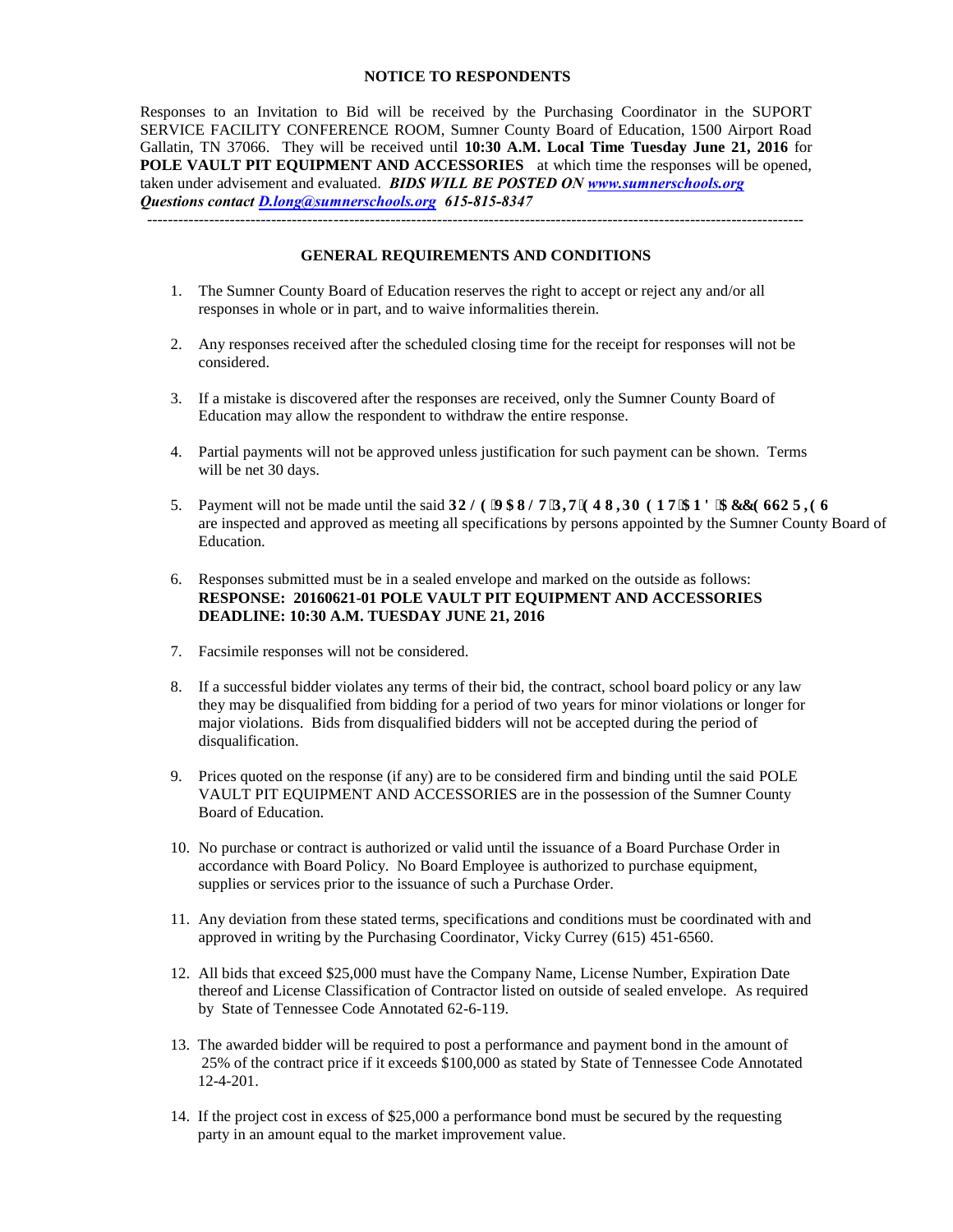#### **NOTICE TO RESPONDENTS**

Responses to an Invitation to Bid will be received by the Purchasing Coordinator in the SUPORT SERVICE FACILITY CONFERENCE ROOM, Sumner County Board of Education, 1500 Airport Road Gallatin, TN 37066. They will be received until **10:30 A.M. Local Time Tuesday June 21, 2016** for **POLE VAULT PIT EQUIPMENT AND ACCESSORIES** at which time the responses will be opened, taken under advisement and evaluated. *BIDS WILL BE POSTED ON [www.sumnerschools.org](http://www.sumnerschools.org/) Questions contact [D.long@sumnerschools.org](mailto:D.long@sumnerschools.org) 615-815-8347* 

-------------------------------------------------------------------------------------------------------------------------------

#### **GENERAL REQUIREMENTS AND CONDITIONS**

- 1. The Sumner County Board of Education reserves the right to accept or reject any and/or all responses in whole or in part, and to waive informalities therein.
- 2. Any responses received after the scheduled closing time for the receipt for responses will not be considered.
- 3. If a mistake is discovered after the responses are received, only the Sumner County Board of Education may allow the respondent to withdraw the entire response.
- 4. Partial payments will not be approved unless justification for such payment can be shown. Terms will be net 30 days.
- 5. Payment will not be made until the said **RONG'XCWNV'RKI'GS WRO GP V'CPF'CEEGUOTKJU** are inspected and approved as meeting all specifications by persons appointed by the Sumner County Board of Education.
- 6. Responses submitted must be in a sealed envelope and marked on the outside as follows: **RESPONSE: 20160621-01 POLE VAULT PIT EQUIPMENT AND ACCESSORIES DEADLINE: 10:30 A.M. TUESDAY JUNE 21, 2016**
- 7. Facsimile responses will not be considered.
- 8. If a successful bidder violates any terms of their bid, the contract, school board policy or any law they may be disqualified from bidding for a period of two years for minor violations or longer for major violations. Bids from disqualified bidders will not be accepted during the period of disqualification.
- 9. Prices quoted on the response (if any) are to be considered firm and binding until the said POLE VAULT PIT EQUIPMENT AND ACCESSORIES are in the possession of the Sumner County Board of Education.
- 10. No purchase or contract is authorized or valid until the issuance of a Board Purchase Order in accordance with Board Policy. No Board Employee is authorized to purchase equipment, supplies or services prior to the issuance of such a Purchase Order.
- 11. Any deviation from these stated terms, specifications and conditions must be coordinated with and approved in writing by the Purchasing Coordinator, Vicky Currey (615) 451-6560.
- 12. All bids that exceed \$25,000 must have the Company Name, License Number, Expiration Date thereof and License Classification of Contractor listed on outside of sealed envelope. As required by State of Tennessee Code Annotated 62-6-119.
- 13. The awarded bidder will be required to post a performance and payment bond in the amount of 25% of the contract price if it exceeds \$100,000 as stated by State of Tennessee Code Annotated 12-4-201.
- 14. If the project cost in excess of \$25,000 a performance bond must be secured by the requesting party in an amount equal to the market improvement value.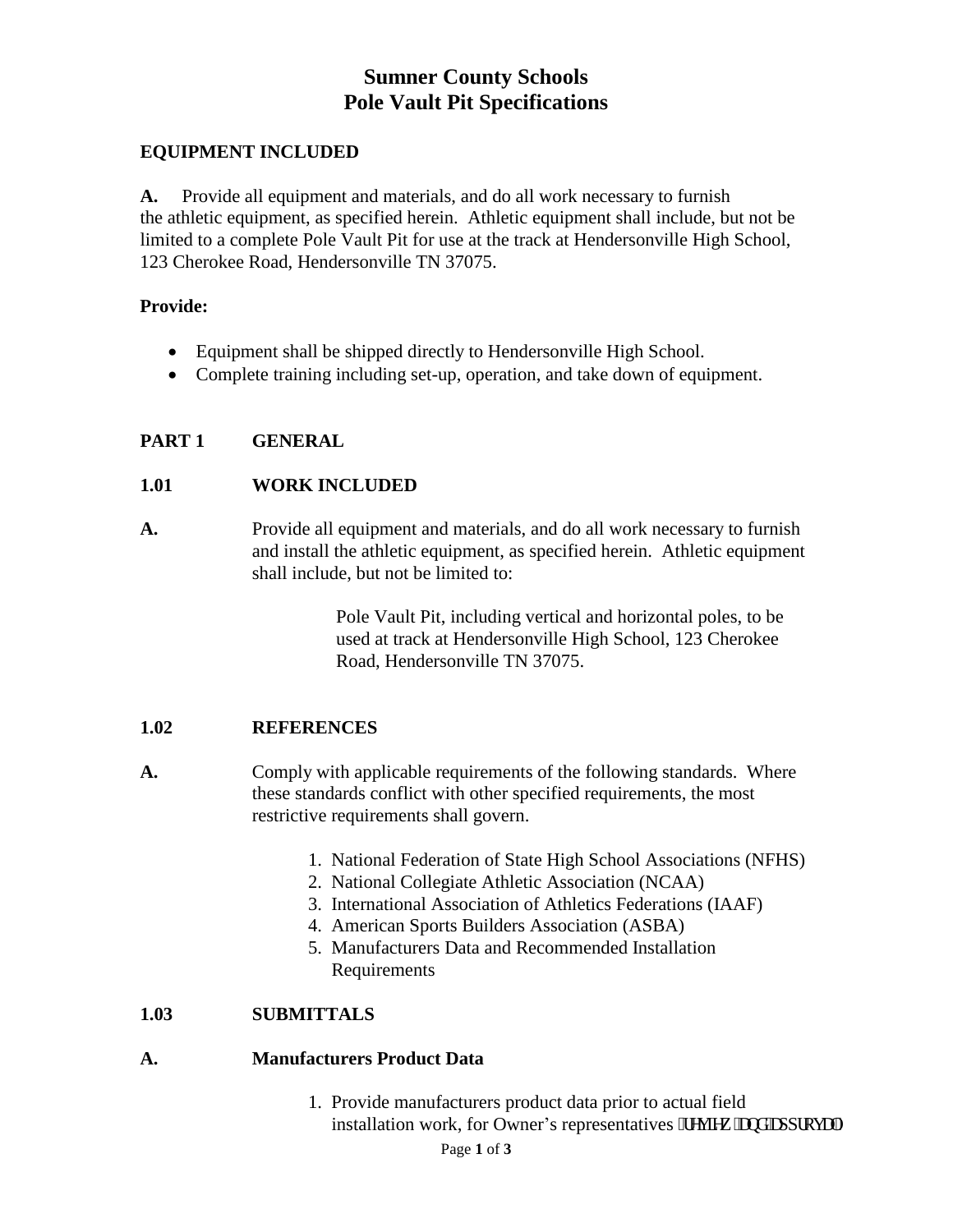# **Sumner County Schools Pole Vault Pit Specifications**

# **EQUIPMENT INCLUDED**

**A.** Provide all equipment and materials, and do all work necessary to furnish the athletic equipment, as specified herein. Athletic equipment shall include, but not be limited to a complete Pole Vault Pit for use at the track at Hendersonville High School, 123 Cherokee Road, Hendersonville TN 37075.

#### **Provide:**

- Equipment shall be shipped directly to Hendersonville High School.
- Complete training including set-up, operation, and take down of equipment.

# **PART 1 GENERAL**

# **1.01 WORK INCLUDED**

**A.** Provide all equipment and materials, and do all work necessary to furnish and install the athletic equipment, as specified herein. Athletic equipment shall include, but not be limited to:

> Pole Vault Pit, including vertical and horizontal poles, to be used at track at Hendersonville High School, 123 Cherokee Road, Hendersonville TN 37075.

# **1.02 REFERENCES**

- **A.** Comply with applicable requirements of the following standards. Where these standards conflict with other specified requirements, the most restrictive requirements shall govern.
	- 1. National Federation of State High School Associations (NFHS)
	- 2. National Collegiate Athletic Association (NCAA)
	- 3. International Association of Athletics Federations (IAAF)
	- 4. American Sports Builders Association (ASBA)
	- 5. Manufacturers Data and Recommended Installation Requirements

# **1.03 SUBMITTALS**

# **A. Manufacturers Product Data**

 1. Provide manufacturers product data prior to actual field installation work, for Owner's representatives "tgxkgy "cpf "cr r tqxcn0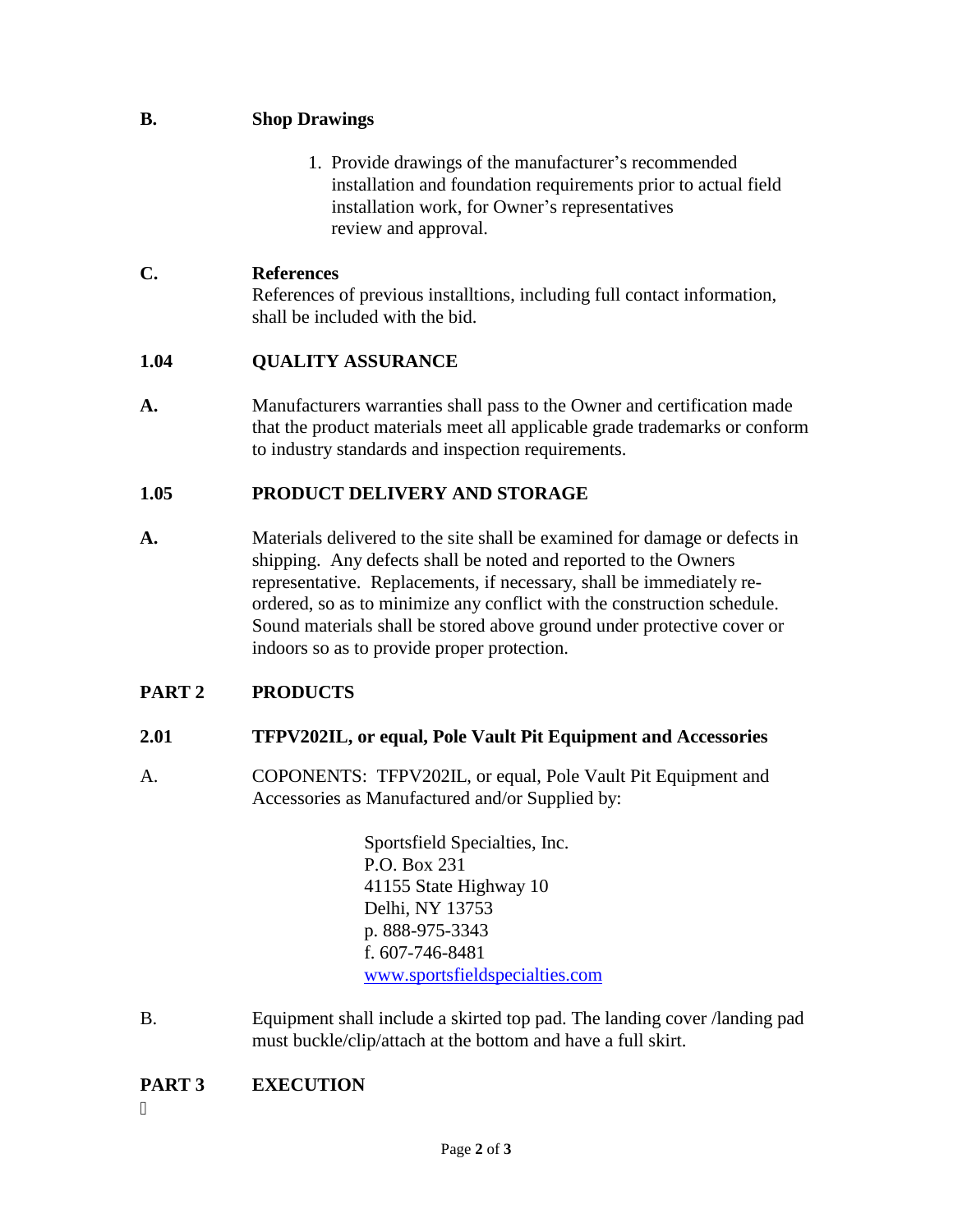# **B. Shop Drawings**

 1. Provide drawings of the manufacturer's recommended installation and foundation requirements prior to actual field installation work, for Owner's representatives review and approval.

#### **C. References**

References of previous installtions, including full contact information, shall be included with the bid.

#### **1.04 QUALITY ASSURANCE**

**A.** Manufacturers warranties shall pass to the Owner and certification made that the product materials meet all applicable grade trademarks or conform to industry standards and inspection requirements.

#### **1.05 PRODUCT DELIVERY AND STORAGE**

**A.** Materials delivered to the site shall be examined for damage or defects in shipping. Any defects shall be noted and reported to the Owners representative. Replacements, if necessary, shall be immediately re ordered, so as to minimize any conflict with the construction schedule. Sound materials shall be stored above ground under protective cover or indoors so as to provide proper protection.

# **PART 2 PRODUCTS**

# **2.01 TFPV202IL, or equal, Pole Vault Pit Equipment and Accessories**

A. COPONENTS: TFPV202IL, or equal, Pole Vault Pit Equipment and Accessories as Manufactured and/or Supplied by:

> Sportsfield Specialties, Inc. P.O. Box 231 41155 State Highway 10 Delhi, NY 13753 p. 888-975-3343 f. 607-746-8481 [www.sportsfieldspecialties.com](http://www.sportsfieldspecialties.com/)

B. Equipment shall include a skirted top pad. The landing cover /landing pad must buckle/clip/attach at the bottom and have a full skirt.

# **PART 3 EXECUTION**

 $\bullet$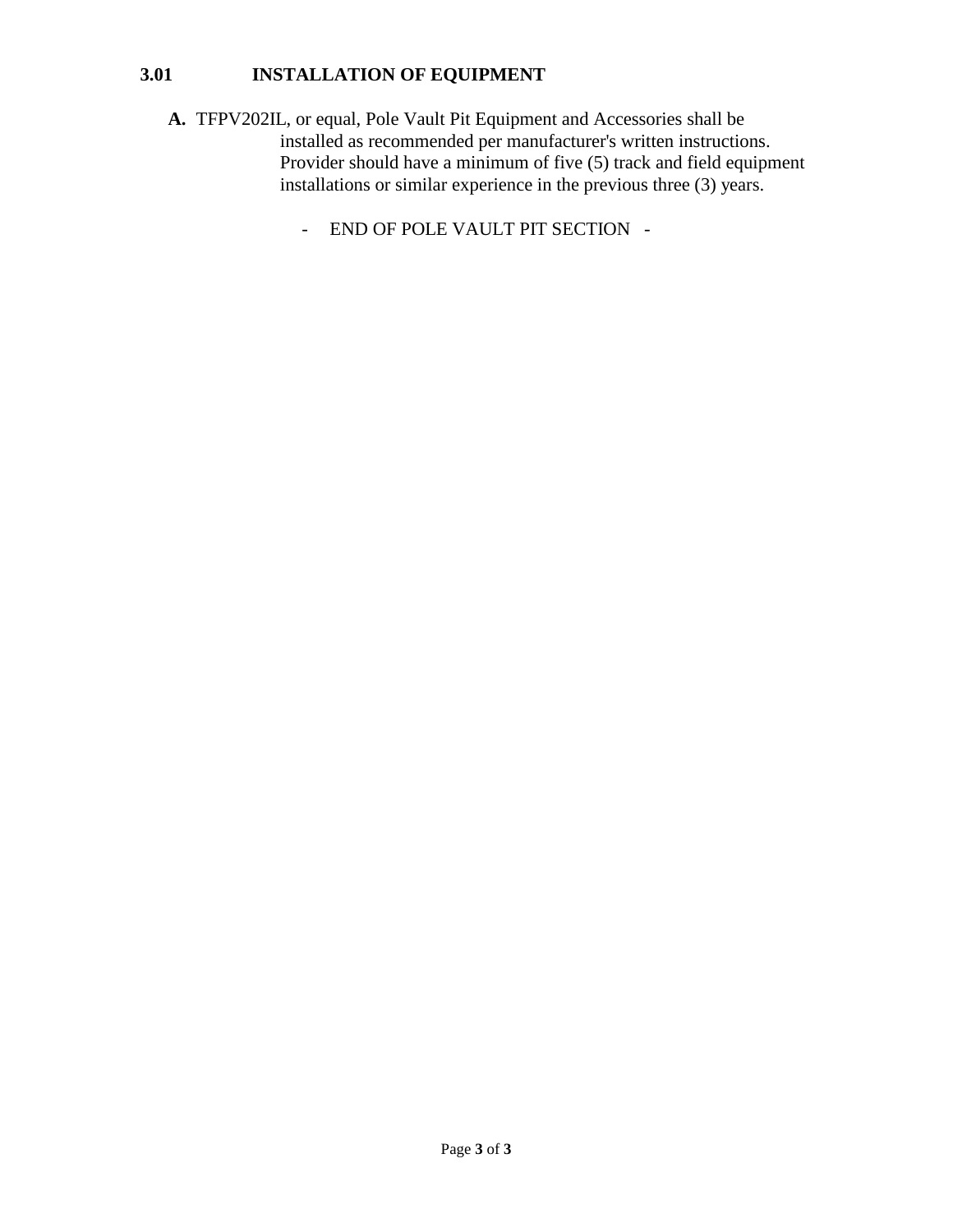# **3.01 INSTALLATION OF EQUIPMENT**

- **A.** TFPV202IL, or equal, Pole Vault Pit Equipment and Accessories shall be installed as recommended per manufacturer's written instructions. Provider should have a minimum of five (5) track and field equipment installations or similar experience in the previous three (3) years.
	- END OF POLE VAULT PIT SECTION -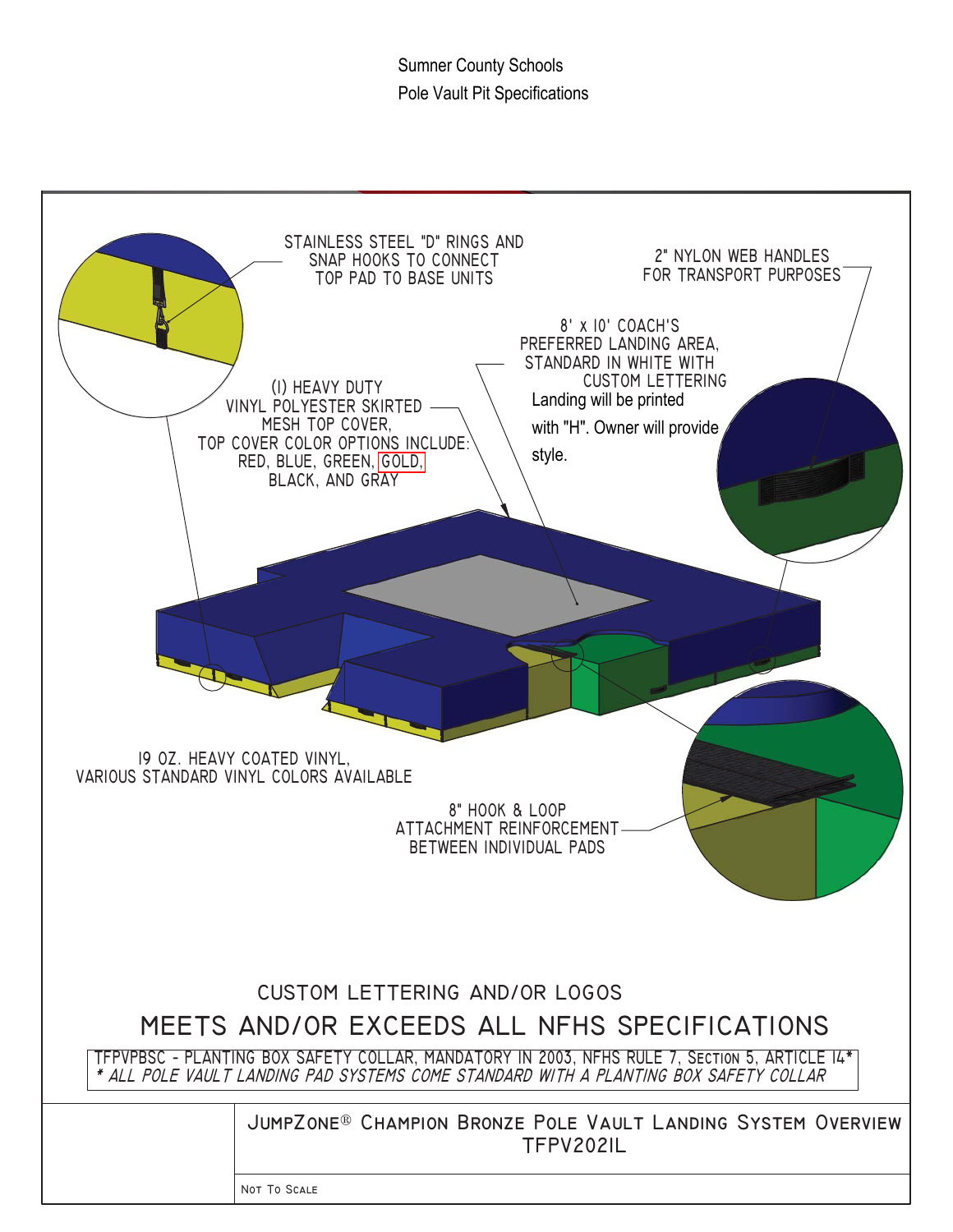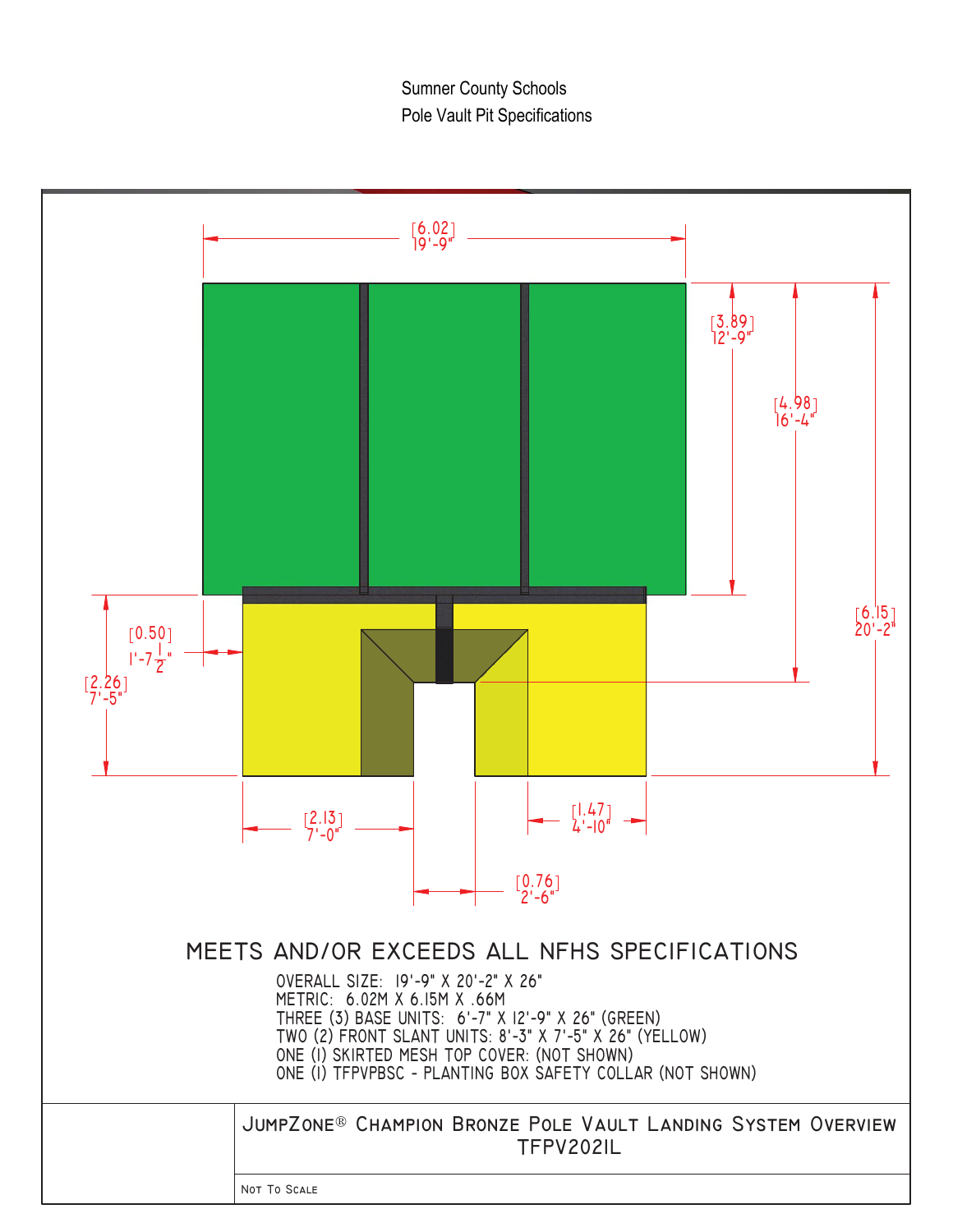**Sumner County Schools** Pole Vault Pit Specifications